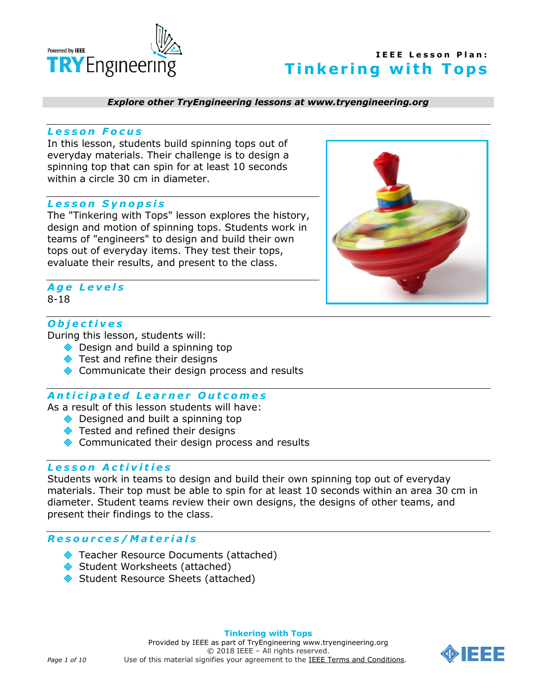

#### *Explore other TryEngineering lessons at www.tryengineering.org*

#### *L e s s o n F o c u s*

In this lesson, students build spinning tops out of everyday materials. Their challenge is to design a spinning top that can spin for at least 10 seconds within a circle 30 cm in diameter.

### *L e s s o n S y n o p s i s*

The "Tinkering with Tops" lesson explores the history, design and motion of spinning tops. Students work in teams of "engineers" to design and build their own tops out of everyday items. They test their tops, evaluate their results, and present to the class.



### *A g e L e v e l s* 8-18

# *O b j e c t i v e s*

During this lesson, students will:

- ◆ Design and build a spinning top
- Test and refine their designs
- ◆ Communicate their design process and results

### *A n t i c i p a t e d L e a r n e r O u t c o m e s*

As a result of this lesson students will have:

- ◆ Designed and built a spinning top
- ◆ Tested and refined their designs
- ◆ Communicated their design process and results

### *L e s s o n A c t i v i t i e s*

Students work in teams to design and build their own spinning top out of everyday materials. Their top must be able to spin for at least 10 seconds within an area 30 cm in diameter. Student teams review their own designs, the designs of other teams, and present their findings to the class.

#### *R e s o u r c e s / M a t e r i a l s*

- ◆ Teacher Resource Documents (attached)
- Student Worksheets (attached)
- Student Resource Sheets (attached)

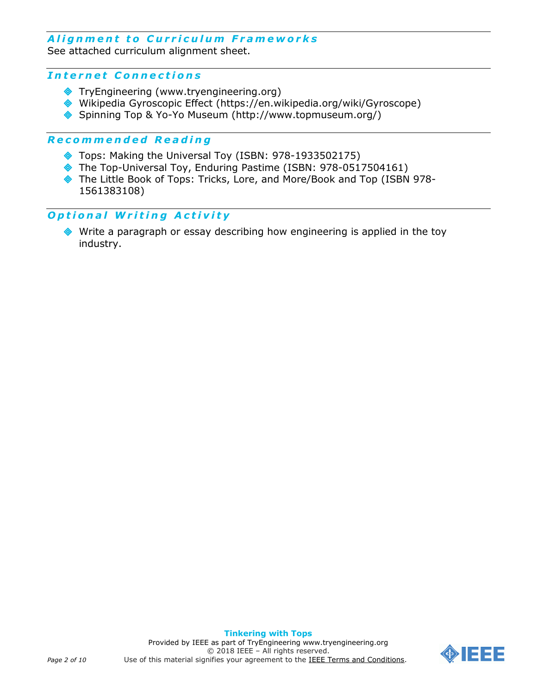# A lignment to Curriculum Frameworks

See attached curriculum alignment sheet.

### *I n t e r n e t C o n n e c t i o n s*

- TryEngineering (www.tryengineering.org)
- Wikipedia Gyroscopic Effect (https://en.wikipedia.org/wiki/Gyroscope)
- Spinning Top & Yo-Yo Museum (http://www.topmuseum.org/)

### *R e c o m m e n d e d R e a d i n g*

- Tops: Making the Universal Toy (ISBN: 978-1933502175)
- The Top-Universal Toy, Enduring Pastime (ISBN: 978-0517504161)
- The Little Book of Tops: Tricks, Lore, and More/Book and Top (ISBN 978- 1561383108)

### *O p t i o n a l W r i t i n g A c t i v i t y*

 Write a paragraph or essay describing how engineering is applied in the toy industry.

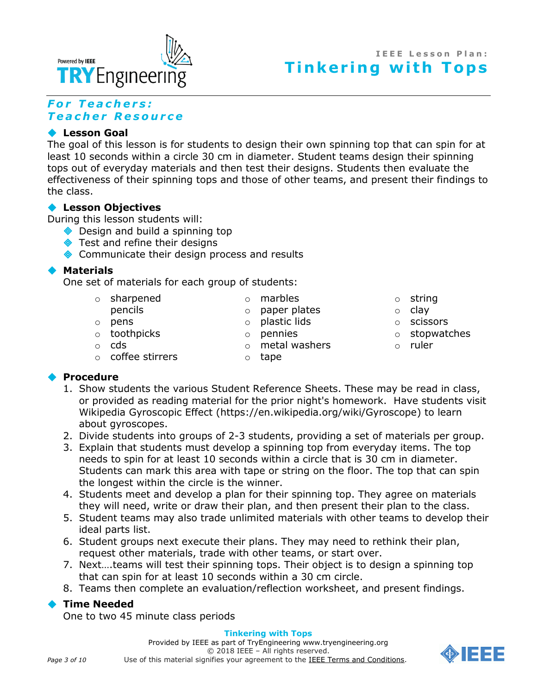

# **I E E E L e s s o n P l a n : Tinkering with Tops**

# *F o r T e a c h e r s : T e a c h e r R e s o u r c e*

# **Lesson Goal**

The goal of this lesson is for students to design their own spinning top that can spin for at least 10 seconds within a circle 30 cm in diameter. Student teams design their spinning tops out of everyday materials and then test their designs. Students then evaluate the effectiveness of their spinning tops and those of other teams, and present their findings to the class.

# **Lesson Objectives**

During this lesson students will:

- ◆ Design and build a spinning top
- **◆** Test and refine their designs
- ◆ Communicate their design process and results

# **Materials**

One set of materials for each group of students:

- o sharpened
- pencils
- o pens
- o toothpicks
- o cds
- o coffee stirrers
- o plastic lids o pennies

o paper plates

o marbles

o metal washers

o tape

- o string
- o clay
- o scissors
- o stopwatches
- o ruler

# **Procedure**

- 1. Show students the various Student Reference Sheets. These may be read in class, or provided as reading material for the prior night's homework. Have students visit Wikipedia Gyroscopic Effect (https://en.wikipedia.org/wiki/Gyroscope) to learn about gyroscopes.
- 2. Divide students into groups of 2-3 students, providing a set of materials per group.
- 3. Explain that students must develop a spinning top from everyday items. The top needs to spin for at least 10 seconds within a circle that is 30 cm in diameter. Students can mark this area with tape or string on the floor. The top that can spin the longest within the circle is the winner.
- 4. Students meet and develop a plan for their spinning top. They agree on materials they will need, write or draw their plan, and then present their plan to the class.
- 5. Student teams may also trade unlimited materials with other teams to develop their ideal parts list.
- 6. Student groups next execute their plans. They may need to rethink their plan, request other materials, trade with other teams, or start over.
- 7. Next….teams will test their spinning tops. Their object is to design a spinning top that can spin for at least 10 seconds within a 30 cm circle.
- 8. Teams then complete an evaluation/reflection worksheet, and present findings.

# **Time Needed**

One to two 45 minute class periods

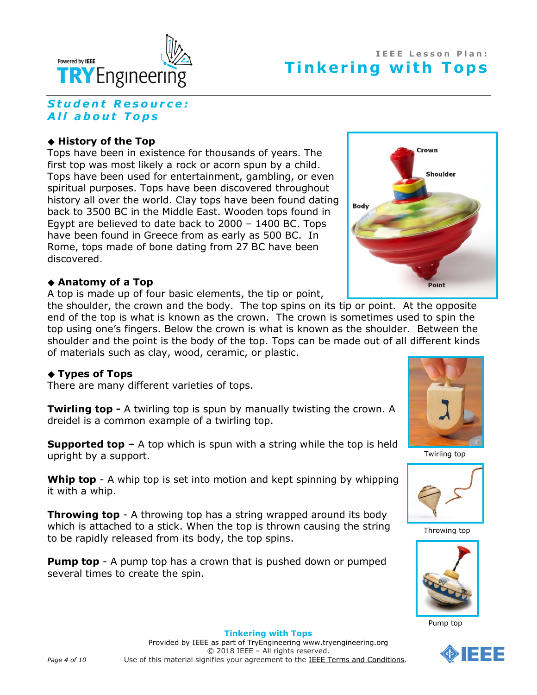

# *S t u d e n t R e s o u r c e :* **All about Tops**

# **History of the Top**

Tops have been in existence for thousands of years. The first top was most likely a rock or acorn spun by a child. Tops have been used for entertainment, gambling, or even spiritual purposes. Tops have been discovered throughout history all over the world. Clay tops have been found dating back to 3500 BC in the Middle East. Wooden tops found in Egypt are believed to date back to 2000 – 1400 BC. Tops have been found in Greece from as early as 500 BC. In Rome, tops made of bone dating from 27 BC have been discovered.

### **Anatomy of a Top**

A top is made up of four basic elements, the tip or point,

the shoulder, the crown and the body. The top spins on its tip or point. At the opposite end of the top is what is known as the crown. The crown is sometimes used to spin the top using one's fingers. Below the crown is what is known as the shoulder. Between the shoulder and the point is the body of the top. Tops can be made out of all different kinds of materials such as clay, wood, ceramic, or plastic.

# **Types of Tops**

There are many different varieties of tops.

**Twirling top -** A twirling top is spun by manually twisting the crown. A dreidel is a common example of a twirling top.

**Supported top –** A top which is spun with a string while the top is held upright by a support.

**Whip top** - A whip top is set into motion and kept spinning by whipping it with a whip.

**Throwing top** - A throwing top has a string wrapped around its body which is attached to a stick. When the top is thrown causing the string to be rapidly released from its body, the top spins.

**Pump top** - A pump top has a crown that is pushed down or pumped several times to create the spin.





Twirling top



Throwing top



Pump top

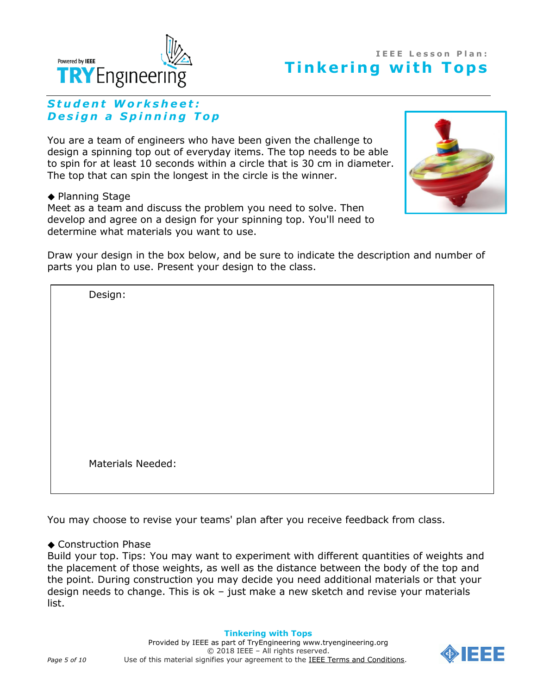

# **I E E E L e s s o n P l a n : Tinkering with Tops**

# *S t u d e n t W o r k s h e e t : Design a Spinning Top*

You are a team of engineers who have been given the challenge to design a spinning top out of everyday items. The top needs to be able to spin for at least 10 seconds within a circle that is 30 cm in diameter. The top that can spin the longest in the circle is the winner.

◆ Planning Stage

Meet as a team and discuss the problem you need to solve. Then develop and agree on a design for your spinning top. You'll need to determine what materials you want to use.



Draw your design in the box below, and be sure to indicate the description and number of parts you plan to use. Present your design to the class.

Design:

Materials Needed:

You may choose to revise your teams' plan after you receive feedback from class.

### ◆ Construction Phase

Build your top. Tips: You may want to experiment with different quantities of weights and the placement of those weights, as well as the distance between the body of the top and the point. During construction you may decide you need additional materials or that your design needs to change. This is ok – just make a new sketch and revise your materials list.

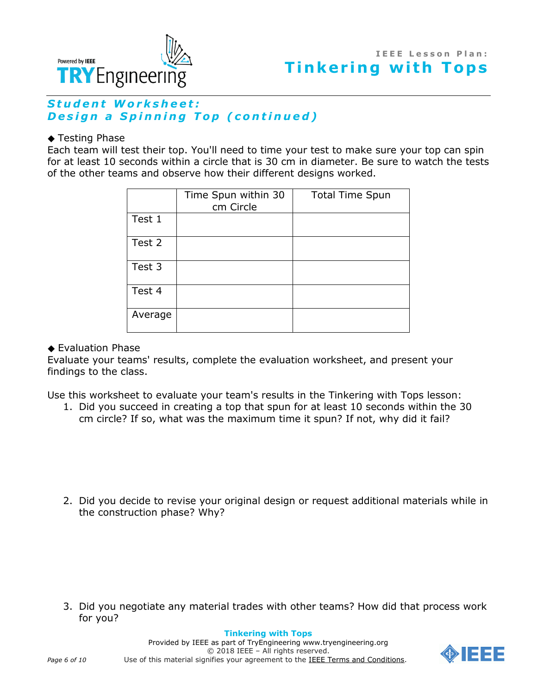



# Student Worksheet: **Design a Spinning Top (continued)**

### ◆ Testing Phase

Each team will test their top. You'll need to time your test to make sure your top can spin for at least 10 seconds within a circle that is 30 cm in diameter. Be sure to watch the tests of the other teams and observe how their different designs worked.

|         | Time Spun within 30<br>cm Circle | <b>Total Time Spun</b> |
|---------|----------------------------------|------------------------|
| Test 1  |                                  |                        |
| Test 2  |                                  |                        |
| Test 3  |                                  |                        |
| Test 4  |                                  |                        |
| Average |                                  |                        |

### Evaluation Phase

Evaluate your teams' results, complete the evaluation worksheet, and present your findings to the class.

Use this worksheet to evaluate your team's results in the Tinkering with Tops lesson:

1. Did you succeed in creating a top that spun for at least 10 seconds within the 30 cm circle? If so, what was the maximum time it spun? If not, why did it fail?

2. Did you decide to revise your original design or request additional materials while in the construction phase? Why?

3. Did you negotiate any material trades with other teams? How did that process work for you?

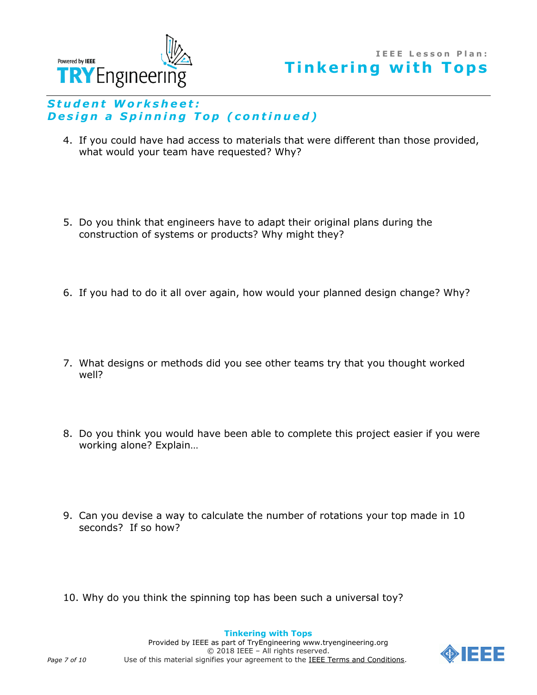



# Student Worksheet: **Design a Spinning Top (continued)**

- 4. If you could have had access to materials that were different than those provided, what would your team have requested? Why?
- 5. Do you think that engineers have to adapt their original plans during the construction of systems or products? Why might they?
- 6. If you had to do it all over again, how would your planned design change? Why?
- 7. What designs or methods did you see other teams try that you thought worked well?
- 8. Do you think you would have been able to complete this project easier if you were working alone? Explain…
- 9. Can you devise a way to calculate the number of rotations your top made in 10 seconds? If so how?
- 10. Why do you think the spinning top has been such a universal toy?



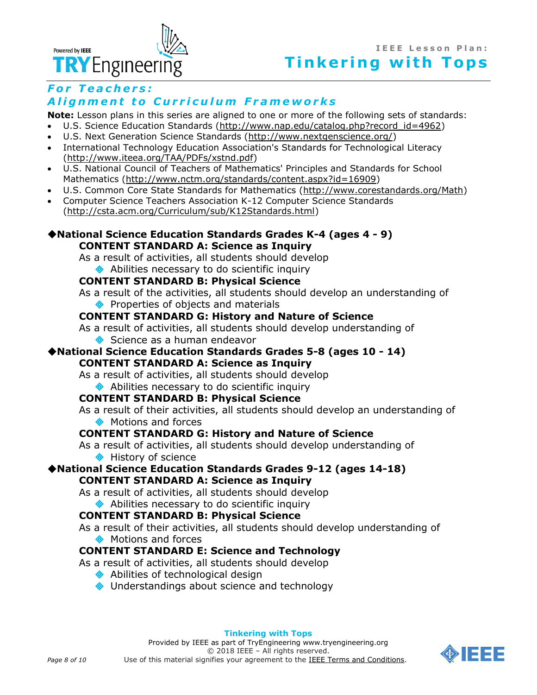

# *For Teachers:* Alignment to Curriculum Frameworks

**Note:** Lesson plans in this series are aligned to one or more of the following sets of standards:

- U.S. Science Education Standards [\(http://www.nap.edu/catalog.php?record\\_id=4962\)](http://www.nap.edu/catalog.php?record_id=4962)
- U.S. Next Generation Science Standards [\(http://www.nextgenscience.org/\)](http://www.nextgenscience.org/)
- International Technology Education Association's Standards for Technological Literacy [\(http://www.iteea.org/TAA/PDFs/xstnd.pdf\)](http://www.iteea.org/TAA/PDFs/xstnd.pdf)
- U.S. National Council of Teachers of Mathematics' Principles and Standards for School Mathematics [\(http://www.nctm.org/standards/content.aspx?id=16909\)](http://www.nctm.org/standards/content.aspx?id=16909)
- U.S. Common Core State Standards for Mathematics [\(http://www.corestandards.org/Math\)](http://www.corestandards.org/Math)
- Computer Science Teachers Association K-12 Computer Science Standards [\(http://csta.acm.org/Curriculum/sub/K12Standards.html\)](http://csta.acm.org/Curriculum/sub/K12Standards.html)

# **[National Science Education Standards](http://www.nap.edu/books/0309053269/html/index.html) Grades K-4 (ages 4 - 9) CONTENT STANDARD A: Science as Inquiry**

As a result of activities, all students should develop ◆ Abilities necessary to do scientific inquiry

# **CONTENT STANDARD B: Physical Science**

As a result of the activities, all students should develop an understanding of ◆ Properties of objects and materials

# **CONTENT STANDARD G: History and Nature of Science**

As a result of activities, all students should develop understanding of

Science as a human endeavor

### **[National Science Education Standards](http://www.nap.edu/books/0309053269/html/index.html) Grades 5-8 (ages 10 - 14) CONTENT STANDARD A: Science as Inquiry**

As a result of activities, all students should develop

# ◆ Abilities necessary to do scientific inquiry

# **CONTENT STANDARD B: Physical Science**

As a result of their activities, all students should develop an understanding of **♦ Motions and forces** 

### **CONTENT STANDARD G: History and Nature of Science**

As a result of activities, all students should develop understanding of **◆ History of science** 

# **[National Science Education Standards](http://www.nap.edu/books/0309053269/html/index.html) Grades 9-12 (ages 14-18) CONTENT STANDARD A: Science as Inquiry**

As a result of activities, all students should develop

# ◆ Abilities necessary to do scientific inquiry

### **CONTENT STANDARD B: Physical Science**

As a result of their activities, all students should develop understanding of ◆ Motions and forces

# **CONTENT STANDARD E: Science and Technology**

As a result of activities, all students should develop

- ◆ Abilities of technological design
- ◆ Understandings about science and technology

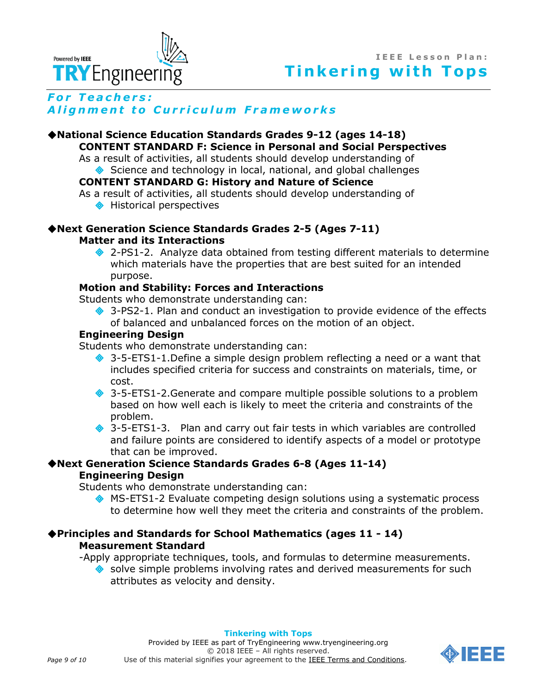



# *For Teachers:* **Alignment to Curriculum Frameworks**

# **[National Science Education Standards](http://www.nap.edu/books/0309053269/html/index.html) Grades 9-12 (ages 14-18) CONTENT STANDARD F: Science in Personal and Social Perspectives**

As a result of activities, all students should develop understanding of Science and technology in local, national, and global challenges

# **CONTENT STANDARD G: History and Nature of Science**

As a result of activities, all students should develop understanding of

♦ Historical perspectives

# **Next Generation Science Standards Grades 2-5 (Ages 7-11) Matter and its Interactions**

◆ 2-PS1-2. Analyze data obtained from testing different materials to determine which materials have the properties that are best suited for an intended purpose.

# **Motion and Stability: Forces and Interactions**

Students who demonstrate understanding can:

◆ 3-PS2-1. Plan and conduct an investigation to provide evidence of the effects of balanced and unbalanced forces on the motion of an object.

# **Engineering Design**

Students who demonstrate understanding can:

- ◆ 3-5-ETS1-1.Define a simple design problem reflecting a need or a want that includes specified criteria for success and constraints on materials, time, or cost.
- **♦ 3-5-ETS1-2.Generate and compare multiple possible solutions to a problem** based on how well each is likely to meet the criteria and constraints of the problem.
- 3-5-ETS1-3. Plan and carry out fair tests in which variables are controlled and failure points are considered to identify aspects of a model or prototype that can be improved.

# **Next Generation Science Standards Grades 6-8 (Ages 11-14) Engineering Design**

Students who demonstrate understanding can:

 MS-ETS1-2 Evaluate competing design solutions using a systematic process to determine how well they meet the criteria and constraints of the problem.

# **Principles and Standards for School Mathematics (ages 11 - 14) Measurement Standard**

-Apply appropriate techniques, tools, and formulas to determine measurements.

◆ solve simple problems involving rates and derived measurements for such attributes as velocity and density.